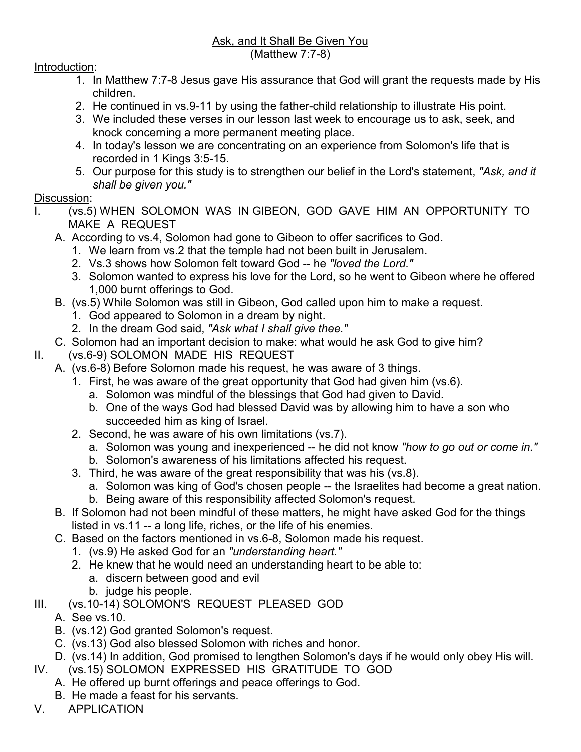## Introduction:

- 1. In Matthew 7:7-8 Jesus gave His assurance that God will grant the requests made by His children.
- 2. He continued in vs.9-11 by using the father-child relationship to illustrate His point.
- 3. We included these verses in our lesson last week to encourage us to ask, seek, and knock concerning a more permanent meeting place.
- 4. In today's lesson we are concentrating on an experience from Solomon's life that is recorded in 1 Kings 3:5-15.
- 5. Our purpose for this study is to strengthen our belief in the Lord's statement, *"Ask, and it shall be given you."*

## Discussion:

- I. (vs.5) WHEN SOLOMON WAS IN GIBEON, GOD GAVE HIM AN OPPORTUNITY TO MAKE A REQUEST
	- A. According to vs.4, Solomon had gone to Gibeon to offer sacrifices to God.
		- 1. We learn from vs.2 that the temple had not been built in Jerusalem.
		- 2. Vs.3 shows how Solomon felt toward God -- he *"loved the Lord."*
		- 3. Solomon wanted to express his love for the Lord, so he went to Gibeon where he offered 1,000 burnt offerings to God.
	- B. (vs.5) While Solomon was still in Gibeon, God called upon him to make a request.
		- 1. God appeared to Solomon in a dream by night.
		- 2. In the dream God said, *"Ask what I shall give thee."*
	- C. Solomon had an important decision to make: what would he ask God to give him?
- II. (vs.6-9) SOLOMON MADE HIS REQUEST
	- A. (vs.6-8) Before Solomon made his request, he was aware of 3 things.
		- 1. First, he was aware of the great opportunity that God had given him (vs.6).
			- a. Solomon was mindful of the blessings that God had given to David.
			- b. One of the ways God had blessed David was by allowing him to have a son who succeeded him as king of Israel.
		- 2. Second, he was aware of his own limitations (vs.7).
			- a. Solomon was young and inexperienced -- he did not know *"how to go out or come in."*
			- b. Solomon's awareness of his limitations affected his request.
		- 3. Third, he was aware of the great responsibility that was his (vs.8).
			- a. Solomon was king of God's chosen people -- the Israelites had become a great nation.
			- b. Being aware of this responsibility affected Solomon's request.
	- B. If Solomon had not been mindful of these matters, he might have asked God for the things listed in vs.11 -- a long life, riches, or the life of his enemies.
	- C. Based on the factors mentioned in vs.6-8, Solomon made his request.
		- 1. (vs.9) He asked God for an *"understanding heart."*
		- 2. He knew that he would need an understanding heart to be able to:
			- a. discern between good and evil
			- b. judge his people.
- III. (vs.10-14) SOLOMON'S REQUEST PLEASED GOD
	- A. See vs.10.
	- B. (vs.12) God granted Solomon's request.
	- C. (vs.13) God also blessed Solomon with riches and honor.
	- D. (vs.14) In addition, God promised to lengthen Solomon's days if he would only obey His will.
- IV. (vs.15) SOLOMON EXPRESSED HIS GRATITUDE TO GOD
	- A. He offered up burnt offerings and peace offerings to God.
	- B. He made a feast for his servants.
- V. APPLICATION